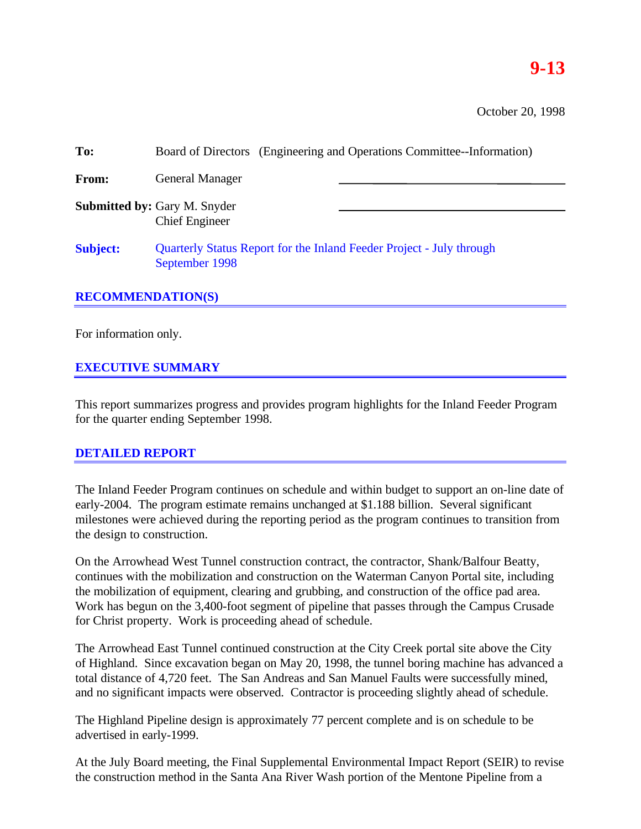# **9-13**

October 20, 1998

| To:             | Board of Directors (Engineering and Operations Committee--Information)                 |  |  |  |  |
|-----------------|----------------------------------------------------------------------------------------|--|--|--|--|
| From:           | <b>General Manager</b>                                                                 |  |  |  |  |
|                 | <b>Submitted by: Gary M. Snyder</b><br><b>Chief Engineer</b>                           |  |  |  |  |
| <b>Subject:</b> | Quarterly Status Report for the Inland Feeder Project - July through<br>September 1998 |  |  |  |  |

#### **RECOMMENDATION(S)**

For information only.

#### **EXECUTIVE SUMMARY**

This report summarizes progress and provides program highlights for the Inland Feeder Program for the quarter ending September 1998.

#### **DETAILED REPORT**

The Inland Feeder Program continues on schedule and within budget to support an on-line date of early-2004. The program estimate remains unchanged at \$1.188 billion. Several significant milestones were achieved during the reporting period as the program continues to transition from the design to construction.

On the Arrowhead West Tunnel construction contract, the contractor, Shank/Balfour Beatty, continues with the mobilization and construction on the Waterman Canyon Portal site, including the mobilization of equipment, clearing and grubbing, and construction of the office pad area. Work has begun on the 3,400-foot segment of pipeline that passes through the Campus Crusade for Christ property. Work is proceeding ahead of schedule.

The Arrowhead East Tunnel continued construction at the City Creek portal site above the City of Highland. Since excavation began on May 20, 1998, the tunnel boring machine has advanced a total distance of 4,720 feet. The San Andreas and San Manuel Faults were successfully mined, and no significant impacts were observed. Contractor is proceeding slightly ahead of schedule.

The Highland Pipeline design is approximately 77 percent complete and is on schedule to be advertised in early-1999.

At the July Board meeting, the Final Supplemental Environmental Impact Report (SEIR) to revise the construction method in the Santa Ana River Wash portion of the Mentone Pipeline from a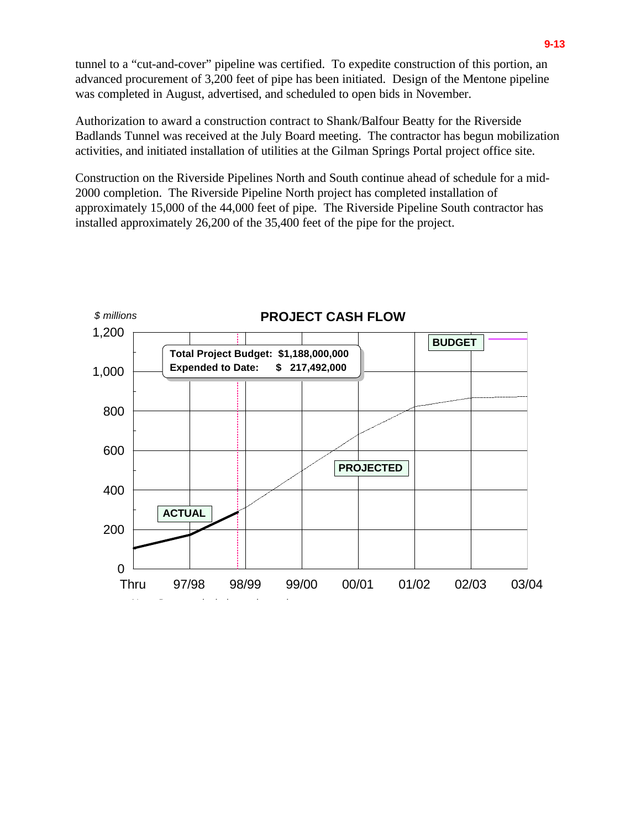tunnel to a "cut-and-cover" pipeline was certified. To expedite construction of this portion, an advanced procurement of 3,200 feet of pipe has been initiated. Design of the Mentone pipeline was completed in August, advertised, and scheduled to open bids in November.

Authorization to award a construction contract to Shank/Balfour Beatty for the Riverside Badlands Tunnel was received at the July Board meeting. The contractor has begun mobilization activities, and initiated installation of utilities at the Gilman Springs Portal project office site.

Construction on the Riverside Pipelines North and South continue ahead of schedule for a mid-2000 completion. The Riverside Pipeline North project has completed installation of approximately 15,000 of the 44,000 feet of pipe. The Riverside Pipeline South contractor has installed approximately 26,200 of the 35,400 feet of the pipe for the project.